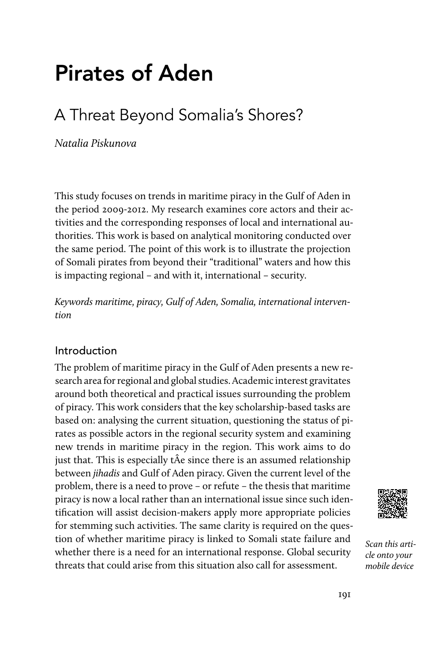# Pirates of Aden

# A Threat Beyond Somalia's Shores?

Natalia Piskunova

This study focuses on trends in maritime piracy in the Gulf of Aden in the period 2009-2012. My research examines core actors and their activities and the corresponding responses of local and international authorities. This work is based on analytical monitoring conducted over the same period. The point of this work is to illustrate the projection of Somali pirates from beyond their "traditional" waters and how this is impacting regional – and with it, international – security.

Keywords maritime, piracy, Gulf of Aden, Somalia, international intervention

# Introduction

The problem of maritime piracy in the Gulf of Aden presents a new research area for regional and global studies. Academic interest gravitates around both theoretical and practical issues surrounding the problem of piracy. This work considers that the key scholarship-based tasks are based on: analysing the current situation, questioning the status of pirates as possible actors in the regional security system and examining new trends in maritime piracy in the region. This work aims to do just that. This is especially tÂe since there is an assumed relationship between jihadis and Gulf of Aden piracy. Given the current level of the problem, there is a need to prove – or refute – the thesis that maritime piracy is now a local rather than an international issue since such identification will assist decision-makers apply more appropriate policies for stemming such activities. The same clarity is required on the question of whether maritime piracy is linked to Somali state failure and whether there is a need for an international response. Global security threats that could arise from this situation also call for assessment.



Scan this article onto your mobile device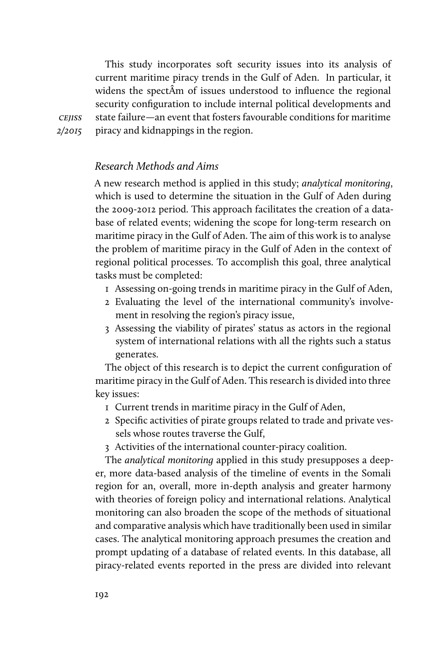This study incorporates soft security issues into its analysis of current maritime piracy trends in the Gulf of Aden. In particular, it widens the spectÂm of issues understood to influence the regional security configuration to include internal political developments and state failure—an event that fosters favourable conditions for maritime piracy and kidnappings in the region.

**CEJISS** 2/2015

#### Research Methods and Aims

A new research method is applied in this study; analytical monitoring, which is used to determine the situation in the Gulf of Aden during the 2009-2012 period. This approach facilitates the creation of a database of related events; widening the scope for long-term research on maritime piracy in the Gulf of Aden. The aim of this work is to analyse the problem of maritime piracy in the Gulf of Aden in the context of regional political processes. To accomplish this goal, three analytical tasks must be completed:

- 1 Assessing on-going trends in maritime piracy in the Gulf of Aden,
- 2 Evaluating the level of the international community's involvement in resolving the region's piracy issue,
- 3 Assessing the viability of pirates' status as actors in the regional system of international relations with all the rights such a status generates.

The object of this research is to depict the current configuration of maritime piracy in the Gulf of Aden. This research is divided into three key issues:

- 1 Current trends in maritime piracy in the Gulf of Aden,
- 2 Specific activities of pirate groups related to trade and private vessels whose routes traverse the Gulf,
- 3 Activities of the international counter-piracy coalition.

The analytical monitoring applied in this study presupposes a deeper, more data-based analysis of the timeline of events in the Somali region for an, overall, more in-depth analysis and greater harmony with theories of foreign policy and international relations. Analytical monitoring can also broaden the scope of the methods of situational and comparative analysis which have traditionally been used in similar cases. The analytical monitoring approach presumes the creation and prompt updating of a database of related events. In this database, all piracy-related events reported in the press are divided into relevant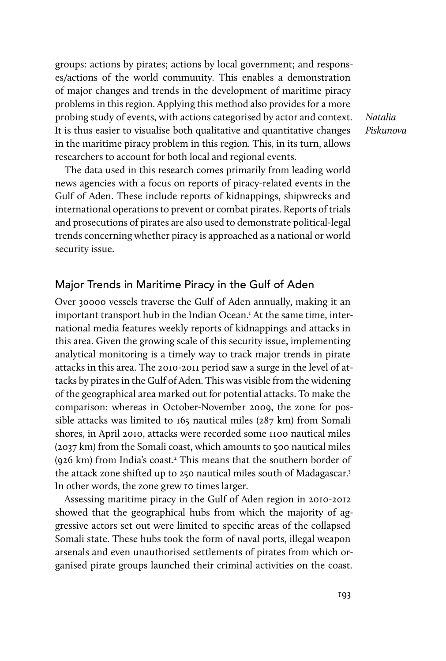groups: actions by pirates; actions by local government; and responses/actions of the world community. This enables a demonstration of major changes and trends in the development of maritime piracy problems in this region. Applying this method also provides for a more probing study of events, with actions categorised by actor and context. It is thus easier to visualise both qualitative and quantitative changes in the maritime piracy problem in this region. This, in its turn, allows researchers to account for both local and regional events.

Natalia Piskunova

The data used in this research comes primarily from leading world news agencies with a focus on reports of piracy-related events in the Gulf of Aden. These include reports of kidnappings, shipwrecks and international operations to prevent or combat pirates. Reports of trials and prosecutions of pirates are also used to demonstrate political-legal trends concerning whether piracy is approached as a national or world security issue.

# Major Trends in Maritime Piracy in the Gulf of Aden

Over 30000 vessels traverse the Gulf of Aden annually, making it an important transport hub in the Indian Ocean.<sup>1</sup> At the same time, international media features weekly reports of kidnappings and attacks in this area. Given the growing scale of this security issue, implementing analytical monitoring is a timely way to track major trends in pirate attacks in this area. The 2010-2011 period saw a surge in the level of attacks by pirates in the Gulf of Aden. This was visible from the widening of the geographical area marked out for potential attacks. To make the comparison: whereas in October-November 2009, the zone for possible attacks was limited to 165 nautical miles (287 km) from Somali shores, in April 2010, attacks were recorded some 1100 nautical miles (2037 km) from the Somali coast, which amounts to 500 nautical miles (926 km) from India's coast.<sup>2</sup> This means that the southern border of the attack zone shifted up to 250 nautical miles south of Madagascar.<sup>3</sup> In other words, the zone grew 10 times larger.

Assessing maritime piracy in the Gulf of Aden region in 2010-2012 showed that the geographical hubs from which the majority of aggressive actors set out were limited to specific areas of the collapsed Somali state. These hubs took the form of naval ports, illegal weapon arsenals and even unauthorised settlements of pirates from which organised pirate groups launched their criminal activities on the coast.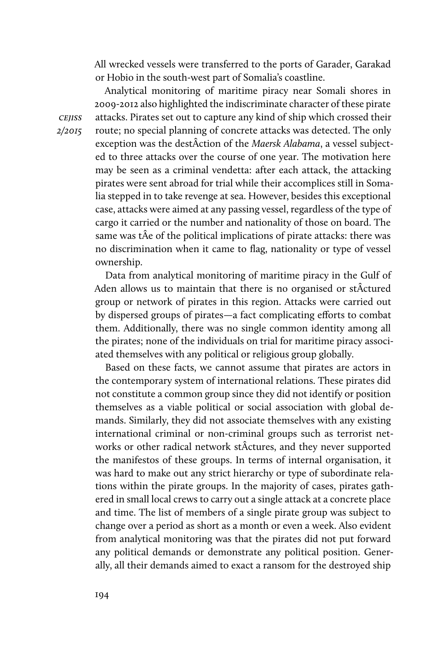All wrecked vessels were transferred to the ports of Garader, Garakad or Hobio in the south-west part of Somalia's coastline.

Analytical monitoring of maritime piracy near Somali shores in 2009-2012 also highlighted the indiscriminate character of these pirate attacks. Pirates set out to capture any kind of ship which crossed their route; no special planning of concrete attacks was detected. The only exception was the destÂction of the Maersk Alabama, a vessel subjected to three attacks over the course of one year. The motivation here may be seen as a criminal vendetta: after each attack, the attacking pirates were sent abroad for trial while their accomplices still in Somalia stepped in to take revenge at sea. However, besides this exceptional case, attacks were aimed at any passing vessel, regardless of the type of cargo it carried or the number and nationality of those on board. The same was tÂe of the political implications of pirate attacks: there was no discrimination when it came to flag, nationality or type of vessel ownership.

Data from analytical monitoring of maritime piracy in the Gulf of Aden allows us to maintain that there is no organised or stÂctured group or network of pirates in this region. Attacks were carried out by dispersed groups of pirates—a fact complicating efforts to combat them. Additionally, there was no single common identity among all the pirates; none of the individuals on trial for maritime piracy associated themselves with any political or religious group globally.

Based on these facts, we cannot assume that pirates are actors in the contemporary system of international relations. These pirates did not constitute a common group since they did not identify or position themselves as a viable political or social association with global demands. Similarly, they did not associate themselves with any existing international criminal or non-criminal groups such as terrorist networks or other radical network stÂctures, and they never supported the manifestos of these groups. In terms of internal organisation, it was hard to make out any strict hierarchy or type of subordinate relations within the pirate groups. In the majority of cases, pirates gathered in small local crews to carry out a single attack at a concrete place and time. The list of members of a single pirate group was subject to change over a period as short as a month or even a week. Also evident from analytical monitoring was that the pirates did not put forward any political demands or demonstrate any political position. Generally, all their demands aimed to exact a ransom for the destroyed ship

**CEJISS** 2/2015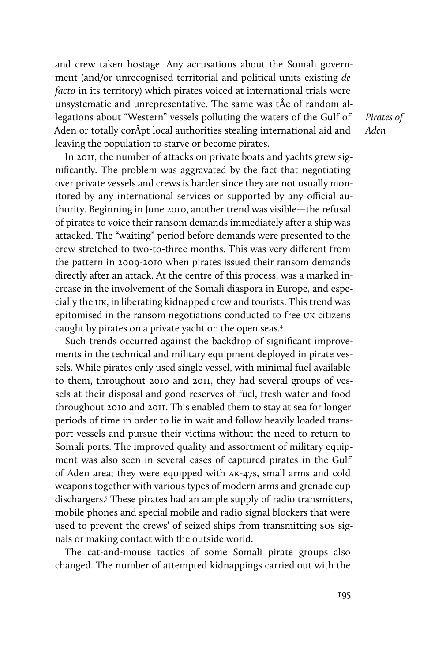and crew taken hostage. Any accusations about the Somali government (and/or unrecognised territorial and political units existing de facto in its territory) which pirates voiced at international trials were unsystematic and unrepresentative. The same was tÂe of random allegations about "Western" vessels polluting the waters of the Gulf of Aden or totally corÂpt local authorities stealing international aid and leaving the population to starve or become pirates.

In 2011, the number of attacks on private boats and yachts grew significantly. The problem was aggravated by the fact that negotiating over private vessels and crews is harder since they are not usually monitored by any international services or supported by any official authority. Beginning in June 2010, another trend was visible—the refusal of pirates to voice their ransom demands immediately after a ship was attacked. The "waiting" period before demands were presented to the crew stretched to two-to-three months. This was very different from the pattern in 2009-2010 when pirates issued their ransom demands directly after an attack. At the centre of this process, was a marked increase in the involvement of the Somali diaspora in Europe, and especially the uk, in liberating kidnapped crew and tourists. This trend was epitomised in the ransom negotiations conducted to free uk citizens caught by pirates on a private yacht on the open seas.4

Such trends occurred against the backdrop of significant improvements in the technical and military equipment deployed in pirate vessels. While pirates only used single vessel, with minimal fuel available to them, throughout 2010 and 2011, they had several groups of vessels at their disposal and good reserves of fuel, fresh water and food throughout 2010 and 2011. This enabled them to stay at sea for longer periods of time in order to lie in wait and follow heavily loaded transport vessels and pursue their victims without the need to return to Somali ports. The improved quality and assortment of military equipment was also seen in several cases of captured pirates in the Gulf of Aden area; they were equipped with ak-47s, small arms and cold weapons together with various types of modern arms and grenade cup dischargers.5 These pirates had an ample supply of radio transmitters, mobile phones and special mobile and radio signal blockers that were used to prevent the crews' of seized ships from transmitting sos signals or making contact with the outside world.

The cat-and-mouse tactics of some Somali pirate groups also changed. The number of attempted kidnappings carried out with the Pirates of Aden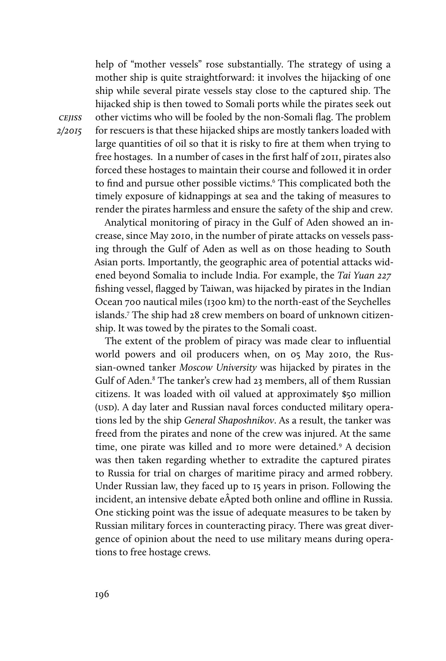help of "mother vessels" rose substantially. The strategy of using a mother ship is quite straightforward: it involves the hijacking of one ship while several pirate vessels stay close to the captured ship. The hijacked ship is then towed to Somali ports while the pirates seek out other victims who will be fooled by the non-Somali flag. The problem for rescuers is that these hijacked ships are mostly tankers loaded with large quantities of oil so that it is risky to fire at them when trying to free hostages. In a number of cases in the first half of 2011, pirates also forced these hostages to maintain their course and followed it in order to find and pursue other possible victims.<sup>6</sup> This complicated both the timely exposure of kidnappings at sea and the taking of measures to render the pirates harmless and ensure the safety of the ship and crew.

Analytical monitoring of piracy in the Gulf of Aden showed an increase, since May 2010, in the number of pirate attacks on vessels passing through the Gulf of Aden as well as on those heading to South Asian ports. Importantly, the geographic area of potential attacks widened beyond Somalia to include India. For example, the Tai Yuan 227 fishing vessel, flagged by Taiwan, was hijacked by pirates in the Indian Ocean 700 nautical miles (1300 km) to the north-east of the Seychelles islands.7 The ship had 28 crew members on board of unknown citizenship. It was towed by the pirates to the Somali coast.

The extent of the problem of piracy was made clear to influential world powers and oil producers when, on 05 May 2010, the Russian-owned tanker Moscow University was hijacked by pirates in the Gulf of Aden.<sup>8</sup> The tanker's crew had 23 members, all of them Russian citizens. It was loaded with oil valued at approximately \$50 million (USD). A day later and Russian naval forces conducted military operations led by the ship General Shaposhnikov. As a result, the tanker was freed from the pirates and none of the crew was injured. At the same time, one pirate was killed and 10 more were detained.<sup>9</sup> A decision was then taken regarding whether to extradite the captured pirates to Russia for trial on charges of maritime piracy and armed robbery. Under Russian law, they faced up to 15 years in prison. Following the incident, an intensive debate eÂpted both online and offline in Russia. One sticking point was the issue of adequate measures to be taken by Russian military forces in counteracting piracy. There was great divergence of opinion about the need to use military means during operations to free hostage crews.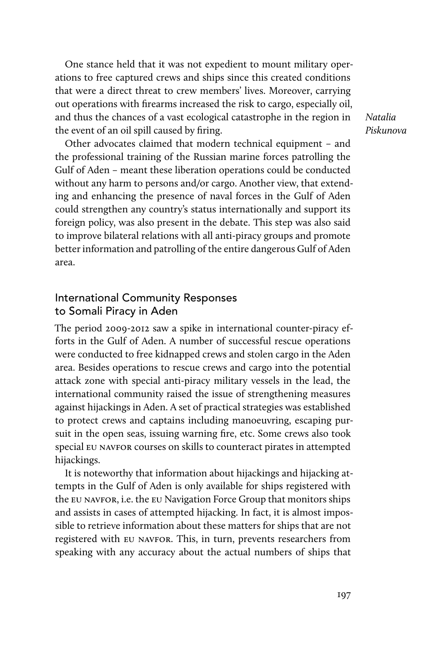One stance held that it was not expedient to mount military operations to free captured crews and ships since this created conditions that were a direct threat to crew members' lives. Moreover, carrying out operations with firearms increased the risk to cargo, especially oil, and thus the chances of a vast ecological catastrophe in the region in the event of an oil spill caused by firing.

Natalia Piskunova

Other advocates claimed that modern technical equipment – and the professional training of the Russian marine forces patrolling the Gulf of Aden – meant these liberation operations could be conducted without any harm to persons and/or cargo. Another view, that extending and enhancing the presence of naval forces in the Gulf of Aden could strengthen any country's status internationally and support its foreign policy, was also present in the debate. This step was also said to improve bilateral relations with all anti-piracy groups and promote better information and patrolling of the entire dangerous Gulf of Aden area.

# International Community Responses to Somali Piracy in Aden

The period 2009-2012 saw a spike in international counter-piracy efforts in the Gulf of Aden. A number of successful rescue operations were conducted to free kidnapped crews and stolen cargo in the Aden area. Besides operations to rescue crews and cargo into the potential attack zone with special anti-piracy military vessels in the lead, the international community raised the issue of strengthening measures against hijackings in Aden. A set of practical strategies was established to protect crews and captains including manoeuvring, escaping pursuit in the open seas, issuing warning fire, etc. Some crews also took special eu navfor courses on skills to counteract pirates in attempted hijackings.

It is noteworthy that information about hijackings and hijacking attempts in the Gulf of Aden is only available for ships registered with the eu navfor, i.e. the eu Navigation Force Group that monitors ships and assists in cases of attempted hijacking. In fact, it is almost impossible to retrieve information about these matters for ships that are not registered with eu navfor. This, in turn, prevents researchers from speaking with any accuracy about the actual numbers of ships that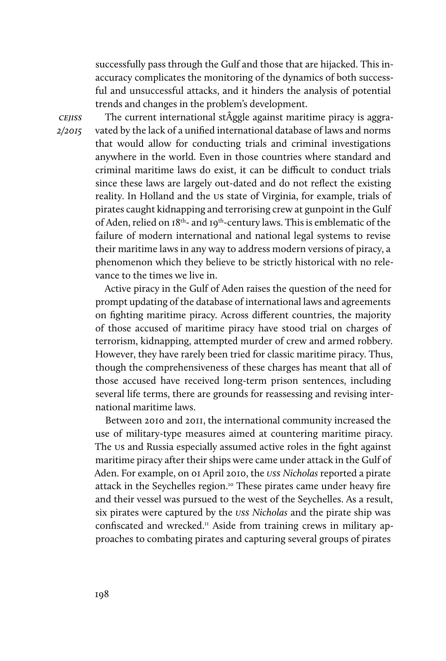successfully pass through the Gulf and those that are hijacked. This inaccuracy complicates the monitoring of the dynamics of both successful and unsuccessful attacks, and it hinders the analysis of potential trends and changes in the problem's development.

**CEJISS** 2/2015

The current international stÂggle against maritime piracy is aggravated by the lack of a unified international database of laws and norms that would allow for conducting trials and criminal investigations anywhere in the world. Even in those countries where standard and criminal maritime laws do exist, it can be difficult to conduct trials since these laws are largely out-dated and do not reflect the existing reality. In Holland and the us state of Virginia, for example, trials of pirates caught kidnapping and terrorising crew at gunpoint in the Gulf of Aden, relied on 18th- and 19th-century laws. This is emblematic of the failure of modern international and national legal systems to revise their maritime laws in any way to address modern versions of piracy, a phenomenon which they believe to be strictly historical with no relevance to the times we live in.

Active piracy in the Gulf of Aden raises the question of the need for prompt updating of the database of international laws and agreements on fighting maritime piracy. Across different countries, the majority of those accused of maritime piracy have stood trial on charges of terrorism, kidnapping, attempted murder of crew and armed robbery. However, they have rarely been tried for classic maritime piracy. Thus, though the comprehensiveness of these charges has meant that all of those accused have received long-term prison sentences, including several life terms, there are grounds for reassessing and revising international maritime laws.

Between 2010 and 2011, the international community increased the use of military-type measures aimed at countering maritime piracy. The us and Russia especially assumed active roles in the fight against maritime piracy after their ships were came under attack in the Gulf of Aden. For example, on 01 April 2010, the *uss Nicholas* reported a pirate attack in the Seychelles region.<sup>10</sup> These pirates came under heavy fire and their vessel was pursued to the west of the Seychelles. As a result, six pirates were captured by the uss Nicholas and the pirate ship was confiscated and wrecked.<sup>11</sup> Aside from training crews in military approaches to combating pirates and capturing several groups of pirates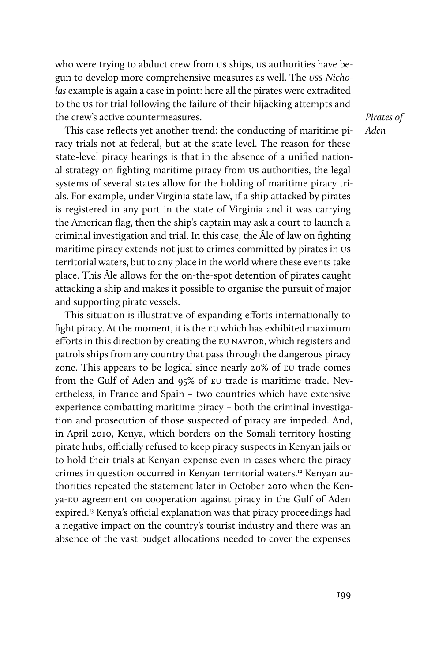who were trying to abduct crew from us ships, us authorities have begun to develop more comprehensive measures as well. The uss Nicholas example is again a case in point: here all the pirates were extradited to the us for trial following the failure of their hijacking attempts and the crew's active countermeasures.

This case reflects yet another trend: the conducting of maritime piracy trials not at federal, but at the state level. The reason for these state-level piracy hearings is that in the absence of a unified national strategy on fighting maritime piracy from us authorities, the legal systems of several states allow for the holding of maritime piracy trials. For example, under Virginia state law, if a ship attacked by pirates is registered in any port in the state of Virginia and it was carrying the American flag, then the ship's captain may ask a court to launch a criminal investigation and trial. In this case, the Âle of law on fighting maritime piracy extends not just to crimes committed by pirates in us territorial waters, but to any place in the world where these events take place. This Âle allows for the on-the-spot detention of pirates caught attacking a ship and makes it possible to organise the pursuit of major and supporting pirate vessels.

This situation is illustrative of expanding efforts internationally to fight piracy. At the moment, it is the eu which has exhibited maximum efforts in this direction by creating the eu navfor, which registers and patrols ships from any country that pass through the dangerous piracy zone. This appears to be logical since nearly 20% of eu trade comes from the Gulf of Aden and 95% of eu trade is maritime trade. Nevertheless, in France and Spain – two countries which have extensive experience combatting maritime piracy – both the criminal investigation and prosecution of those suspected of piracy are impeded. And, in April 2010, Kenya, which borders on the Somali territory hosting pirate hubs, officially refused to keep piracy suspects in Kenyan jails or to hold their trials at Kenyan expense even in cases where the piracy crimes in question occurred in Kenyan territorial waters.<sup>12</sup> Kenyan authorities repeated the statement later in October 2010 when the Kenya-eu agreement on cooperation against piracy in the Gulf of Aden expired.<sup>13</sup> Kenya's official explanation was that piracy proceedings had a negative impact on the country's tourist industry and there was an absence of the vast budget allocations needed to cover the expenses

Pirates of Aden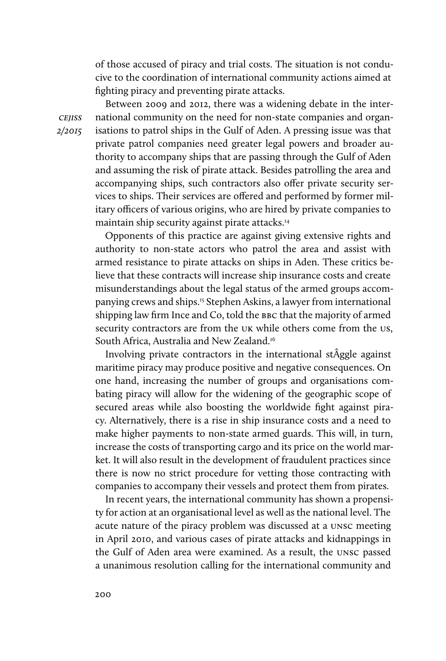of those accused of piracy and trial costs. The situation is not conducive to the coordination of international community actions aimed at fighting piracy and preventing pirate attacks.

Between 2009 and 2012, there was a widening debate in the international community on the need for non-state companies and organisations to patrol ships in the Gulf of Aden. A pressing issue was that private patrol companies need greater legal powers and broader authority to accompany ships that are passing through the Gulf of Aden and assuming the risk of pirate attack. Besides patrolling the area and accompanying ships, such contractors also offer private security services to ships. Their services are offered and performed by former military officers of various origins, who are hired by private companies to maintain ship security against pirate attacks.14

Opponents of this practice are against giving extensive rights and authority to non-state actors who patrol the area and assist with armed resistance to pirate attacks on ships in Aden. These critics believe that these contracts will increase ship insurance costs and create misunderstandings about the legal status of the armed groups accompanying crews and ships.15 Stephen Askins, a lawyer from international shipping law firm Ince and Co, told the BBC that the majority of armed security contractors are from the UK while others come from the US, South Africa, Australia and New Zealand.16

Involving private contractors in the international stÂggle against maritime piracy may produce positive and negative consequences. On one hand, increasing the number of groups and organisations combating piracy will allow for the widening of the geographic scope of secured areas while also boosting the worldwide fight against piracy. Alternatively, there is a rise in ship insurance costs and a need to make higher payments to non-state armed guards. This will, in turn, increase the costs of transporting cargo and its price on the world market. It will also result in the development of fraudulent practices since there is now no strict procedure for vetting those contracting with companies to accompany their vessels and protect them from pirates.

In recent years, the international community has shown a propensity for action at an organisational level as well as the national level. The acute nature of the piracy problem was discussed at a unsc meeting in April 2010, and various cases of pirate attacks and kidnappings in the Gulf of Aden area were examined. As a result, the unsc passed a unanimous resolution calling for the international community and

cejiss 2/2015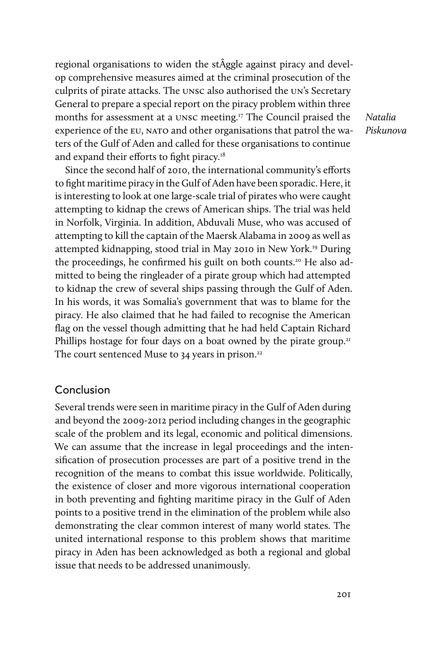regional organisations to widen the stÂggle against piracy and develop comprehensive measures aimed at the criminal prosecution of the culprits of pirate attacks. The unsc also authorised the un's Secretary General to prepare a special report on the piracy problem within three months for assessment at a unsc meeting.<sup>17</sup> The Council praised the experience of the EU, NATO and other organisations that patrol the waters of the Gulf of Aden and called for these organisations to continue and expand their efforts to fight piracy.<sup>18</sup>

Natalia Piskunova

Since the second half of 2010, the international community's efforts to fight maritime piracy in the Gulf of Aden have been sporadic. Here, it is interesting to look at one large-scale trial of pirates who were caught attempting to kidnap the crews of American ships. The trial was held in Norfolk, Virginia. In addition, Abduvali Muse, who was accused of attempting to kill the captain of the Maersk Alabama in 2009 as well as attempted kidnapping, stood trial in May 2010 in New York.19 During the proceedings, he confirmed his guilt on both counts.20 He also admitted to being the ringleader of a pirate group which had attempted to kidnap the crew of several ships passing through the Gulf of Aden. In his words, it was Somalia's government that was to blame for the piracy. He also claimed that he had failed to recognise the American flag on the vessel though admitting that he had held Captain Richard Phillips hostage for four days on a boat owned by the pirate group.<sup>21</sup> The court sentenced Muse to  $34$  years in prison.<sup>22</sup>

#### Conclusion

Several trends were seen in maritime piracy in the Gulf of Aden during and beyond the 2009-2012 period including changes in the geographic scale of the problem and its legal, economic and political dimensions. We can assume that the increase in legal proceedings and the intensification of prosecution processes are part of a positive trend in the recognition of the means to combat this issue worldwide. Politically, the existence of closer and more vigorous international cooperation in both preventing and fighting maritime piracy in the Gulf of Aden points to a positive trend in the elimination of the problem while also demonstrating the clear common interest of many world states. The united international response to this problem shows that maritime piracy in Aden has been acknowledged as both a regional and global issue that needs to be addressed unanimously.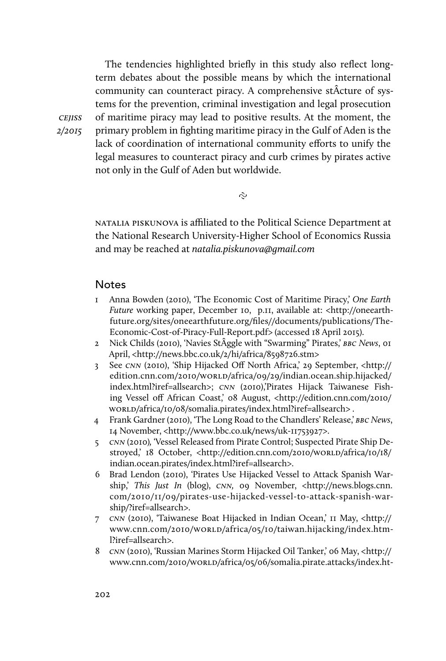The tendencies highlighted briefly in this study also reflect longterm debates about the possible means by which the international community can counteract piracy. A comprehensive stÂcture of systems for the prevention, criminal investigation and legal prosecution of maritime piracy may lead to positive results. At the moment, the primary problem in fighting maritime piracy in the Gulf of Aden is the lack of coordination of international community efforts to unify the legal measures to counteract piracy and curb crimes by pirates active not only in the Gulf of Aden but worldwide.

 $\tilde{c}$ 

natalia piskunova is afliated to the Political Science Department at the National Research University-Higher School of Economics Russia and may be reached at natalia.piskunova@gmail.com

#### **Notes**

cejiss 2/2015

- 1 Anna Bowden (2010), 'The Economic Cost of Maritime Piracy,' One Earth Future working paper, December 10, p.11, available at: <http://oneearthfuture.org/sites/oneearthfuture.org/files//documents/publications/The-Economic-Cost-of-Piracy-Full-Report.pdf> (accessed 18 April 2015).
- 2 Nick Childs (2010), 'Navies StÂggle with "Swarming" Pirates,' BBC News, 01 April, <http://news.bbc.co.uk/2/hi/africa/8598726.stm>
- 3 See cnn (2010), 'Ship Hijacked Off North Africa,' 29 September, <http:// edition.cnn.com/2010/worLD/africa/09/29/indian.ocean.ship.hijacked/ index.html?iref=allsearch>; cnn (2010),'Pirates Hijack Taiwanese Fishing Vessel off African Coast,' 08 August, <http://edition.cnn.com/2010/ worLD/africa/10/08/somalia.pirates/index.html?iref=allsearch>.
- 4 Frank Gardner (2010), 'The Long Road to the Chandlers' Release,' BBC News, 14 November, <http://www.bbc.co.uk/news/uk-11753927>.
- 5 cnn (2010), 'Vessel Released from Pirate Control; Suspected Pirate Ship Destroyed,' 18 October, <http://edition.cnn.com/2010/worldo/africa/10/18/ indian.ocean.pirates/index.html?iref=allsearch>.
- 6 Brad Lendon (2010), 'Pirates Use Hijacked Vessel to Attack Spanish Warship,' This Just In (blog), CNN, 09 November, <http://news.blogs.cnn. com/2010/11/09/pirates-use-hijacked-vessel-to-attack-spanish-warship/?iref=allsearch>.
- 7 cnn (2010), 'Taiwanese Boat Hijacked in Indian Ocean,' 11 May, <http:// www.cnn.com/2010/worLD/africa/05/10/taiwan.hijacking/index.html?iref=allsearch>.
- 8 cnn (2010), 'Russian Marines Storm Hijacked Oil Tanker,' 06 May, <http:// www.cnn.com/2010/world/africa/05/06/somalia.pirate.attacks/index.ht-